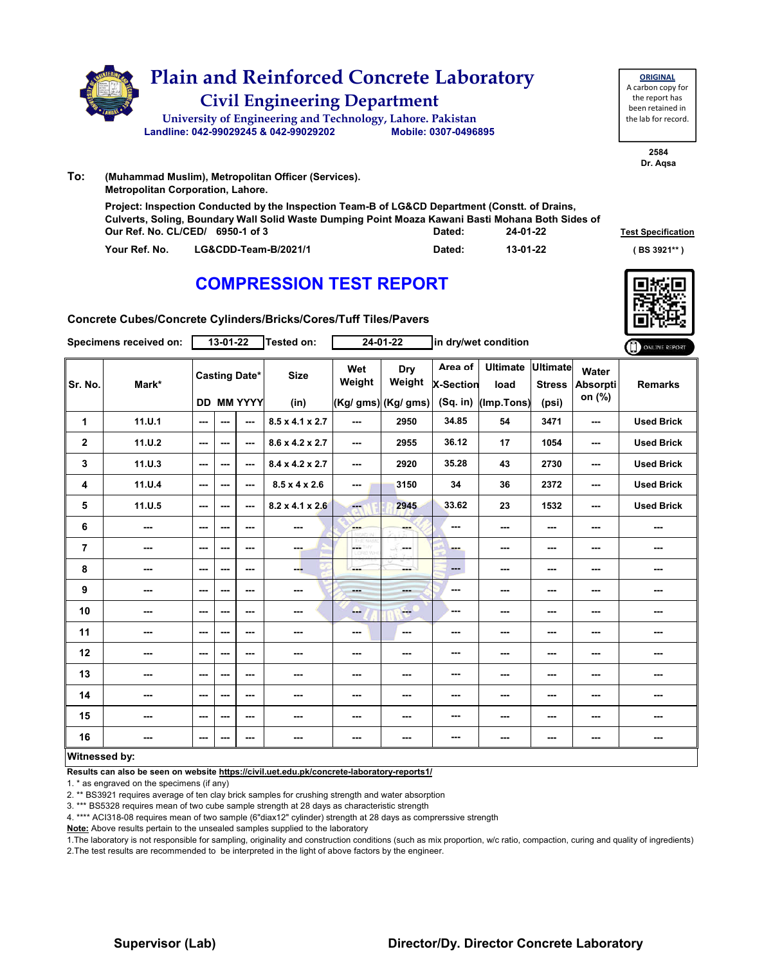

|               | Our Ref. No. CL/CED/ 6950-1 of 3 | Dated: | 24-01-22 | <b>Test Specificati</b> |
|---------------|----------------------------------|--------|----------|-------------------------|
| Your Ref. No. | LG&CDD-Team-B/2021/1             | Dated: | 13-01-22 | (BS 3921** )            |



**Test Specification** 

**Concrete Cubes/Concrete Cylinders/Bricks/Cores/Tuff Tiles/Pavers**

|                         | Specimens received on: |               | $13 - 01 - 22$ |                                           | Tested on:                  |                      | $24 - 01 - 22$                        |                                           | in dry/wet condition                  |                                           |                                    | ONLINE REPORT     |
|-------------------------|------------------------|---------------|----------------|-------------------------------------------|-----------------------------|----------------------|---------------------------------------|-------------------------------------------|---------------------------------------|-------------------------------------------|------------------------------------|-------------------|
| Sr. No.                 | Mark*                  |               |                | <b>Casting Date*</b><br><b>DD MM YYYY</b> | <b>Size</b><br>(in)         | Wet<br>Weight        | Dry<br>Weight<br>$(Kg/gms)$ (Kg/ gms) | Area of<br><b>X-Section</b><br>$(Sq.$ in) | <b>Ultimate</b><br>load<br>(Imp.Tons) | <b>Ultimate</b><br><b>Stress</b><br>(psi) | Water<br><b>Absorpti</b><br>on (%) | <b>Remarks</b>    |
| 1                       | 11.0.1                 | $\sim$ $\sim$ | ---            | ---                                       | $8.5 \times 4.1 \times 2.7$ | ---                  | 2950                                  | 34.85                                     | 54                                    | 3471                                      | ---                                | <b>Used Brick</b> |
| $\mathbf 2$             | 11.0.2                 | ---           | ---            | ---                                       | $8.6 \times 4.2 \times 2.7$ | ---                  | 2955                                  | 36.12                                     | 17                                    | 1054                                      | ---                                | <b>Used Brick</b> |
| 3                       | 11. U.3                | $- - -$       | ---            | $- - -$                                   | 8.4 x 4.2 x 2.7             | ---                  | 2920                                  | 35.28                                     | 43                                    | 2730                                      | ---                                | <b>Used Brick</b> |
| 4                       | 11.0.4                 | $\sim$ $\sim$ | ---            | $--$                                      | $8.5 \times 4 \times 2.6$   | ---                  | 3150                                  | 34                                        | 36                                    | 2372                                      | ---                                | <b>Used Brick</b> |
| 5                       | 11.U.5                 | ---           | ---            | $--$                                      | $8.2 \times 4.1 \times 2.6$ | <b>Fact</b>          | 2945                                  | 33.62                                     | 23                                    | 1532                                      | ---                                | <b>Used Brick</b> |
| 6                       | ---                    | $--$          | ---            | ---                                       | ---                         | <b>SHOP</b>          |                                       | ---                                       | ---                                   | ---                                       | ---                                |                   |
| $\overline{\mathbf{r}}$ | ---                    | ---           | ---            | ---                                       | ---                         | LGS.<br><b>D.VOY</b> | -F.<br>in mar                         | ---                                       | ---                                   | ---                                       | ---                                | ---               |
| 8                       | ---                    | ---           | ---            | ---                                       | ---                         | ---                  | man i                                 | $\qquad \qquad \cdots$                    | ---                                   | ---                                       | ---                                | ---               |
| 9                       | ---                    | $--$          | ---            | $--$                                      | ---                         | ---                  | ---                                   | ---                                       | ---                                   | ---                                       | ---                                | ---               |
| 10                      | $\sim$                 | ---           | ---            | ---                                       | ---                         | --                   | <b>Free</b>                           | ---                                       | ---                                   | $--$                                      | ---                                | ---               |
| 11                      | ---                    | ---           | ---            | ---                                       | ---                         | ---                  | $\sim$                                | ---                                       | ---                                   | ---                                       | ---                                | ---               |
| 12                      | ---                    | $--$          | ---            | $--$                                      | ---                         | ---                  |                                       | ---                                       | ---                                   | ---                                       | ---                                |                   |
| 13                      | ---                    | ---           | ---            | ---                                       | ---                         | ---                  | ---                                   | ---                                       | ---                                   | ---                                       | ---                                | ---               |
| 14                      | ---                    | $- - -$       | ---            | ---                                       | ---                         | ---                  | ---                                   | ---                                       | ---                                   | ---                                       | ---                                | ---               |
| 15                      | ---                    | ---           | ---            | $--$                                      | ---                         | ---                  | ---                                   | ---                                       | ---                                   | ---                                       | ---                                | ---               |
| 16                      | ---                    | ---           | ---            | ---                                       | ---                         | ---                  | ---                                   | ---                                       | ---                                   | $\cdots$                                  | ---                                | ---               |
| Witnessed by:           |                        |               |                |                                           |                             |                      |                                       |                                           |                                       |                                           |                                    |                   |

**Results can also be seen on website https://civil.uet.edu.pk/concrete-laboratory-reports1/**

1. \* as engraved on the specimens (if any)

2. \*\* BS3921 requires average of ten clay brick samples for crushing strength and water absorption

3. \*\*\* BS5328 requires mean of two cube sample strength at 28 days as characteristic strength

4. \*\*\*\* ACI318-08 requires mean of two sample (6"diax12" cylinder) strength at 28 days as comprerssive strength

**Note:** Above results pertain to the unsealed samples supplied to the laboratory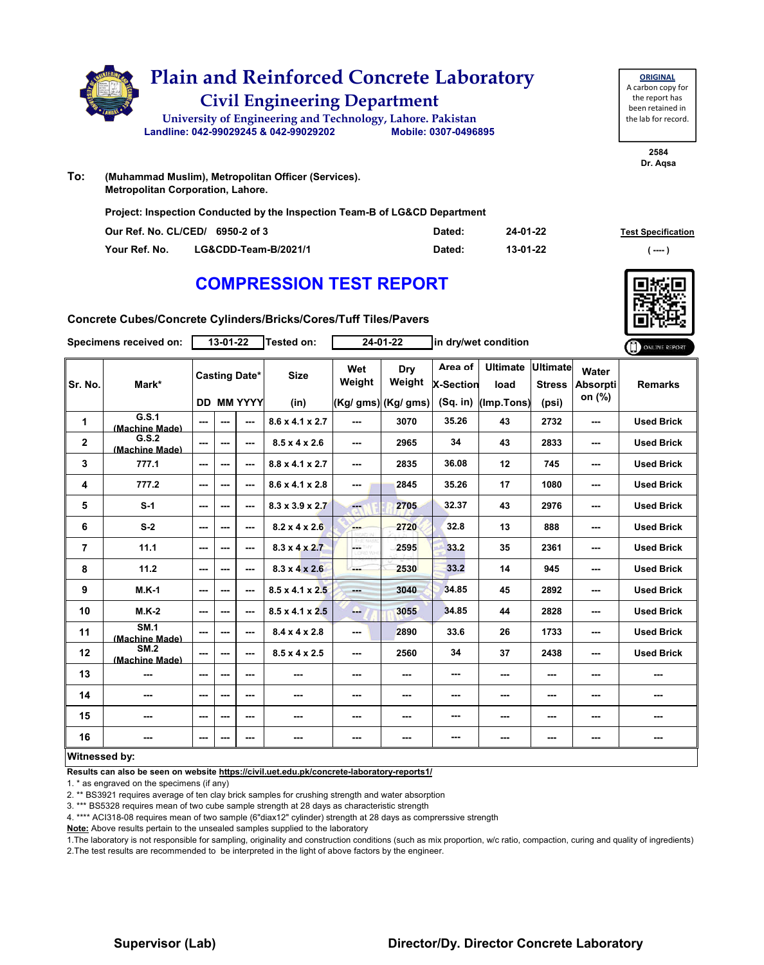

| <b>ORIGINAL</b>     |
|---------------------|
| A carbon copy for   |
| the report has      |
| been retained in    |
| the lab for record. |
|                     |

**2584 Dr. Aqsa**

**To: (Muhammad Muslim), Metropolitan Officer (Services). Metropolitan Corporation, Lahore.**

**Project: Inspection Conducted by the Inspection Team-B of LG&CD Department** 

|               | Our Ref. No. CL/CED/ 6950-2 of 3 | Dated: | 24-01-22 | <b>Test Specification</b>  |
|---------------|----------------------------------|--------|----------|----------------------------|
| Your Ref. No. | LG&CDD-Team-B/2021/1             | Dated: | 13-01-22 | $\epsilon$ ---- $\epsilon$ |

### **COMPRESSION TEST REPORT**

**Concrete Cubes/Concrete Cylinders/Bricks/Cores/Tuff Tiles/Pavers**

|                | Specimens received on:                    |          | $13 - 01 - 22$ |                                           | <b>Tested on:</b>           |                                | $24 - 01 - 22$                       |                                           | in dry/wet condition                  |                                           |                                    | ONLINE REPORT     |
|----------------|-------------------------------------------|----------|----------------|-------------------------------------------|-----------------------------|--------------------------------|--------------------------------------|-------------------------------------------|---------------------------------------|-------------------------------------------|------------------------------------|-------------------|
| Sr. No.        | Mark*                                     |          |                | <b>Casting Date*</b><br><b>DD MM YYYY</b> | <b>Size</b><br>(in)         | Wet<br>Weight                  | Dry<br>Weight<br>(Kg/ gms) (Kg/ gms) | Area of<br><b>X-Section</b><br>$(Sq.$ in) | <b>Ultimate</b><br>load<br>(Imp.Tons) | <b>Ultimate</b><br><b>Stress</b><br>(psi) | Water<br><b>Absorpti</b><br>on (%) | <b>Remarks</b>    |
| 1              | G.S.1                                     | ---      | ---            | $\sim$ $\sim$                             | $8.6 \times 4.1 \times 2.7$ | ---                            | 3070                                 | 35.26                                     | 43                                    | 2732                                      | ---                                | <b>Used Brick</b> |
| $\mathbf 2$    | (Machine Made)<br>G.S.2<br>(Machine Made) | $--$     | ---            | $\sim$ $\sim$                             | $8.5 \times 4 \times 2.6$   | ---                            | 2965                                 | 34                                        | 43                                    | 2833                                      | ---                                | <b>Used Brick</b> |
| 3              | 777.1                                     | ---      | ---            | $\sim$ $\sim$                             | $8.8 \times 4.1 \times 2.7$ | ---                            | 2835                                 | 36.08                                     | 12                                    | 745                                       | ---                                | <b>Used Brick</b> |
| 4              | 777.2                                     | ---      | ---            | $\overline{\phantom{a}}$                  | $8.6 \times 4.1 \times 2.8$ | ---                            | 2845                                 | 35.26                                     | 17                                    | 1080                                      | ---                                | <b>Used Brick</b> |
| 5              | $S-1$                                     | $--$     | ---            | $\sim$ $\sim$                             | $8.3 \times 3.9 \times 2.7$ | He is                          | 2705                                 | 32.37                                     | 43                                    | 2976                                      | ---                                | <b>Used Brick</b> |
| 6              | $S-2$                                     | $--$     | ---            | ---                                       | $8.2 \times 4 \times 2.6$   | ---                            | 2720                                 | 32.8                                      | 13                                    | 888                                       | ---                                | <b>Used Brick</b> |
| $\overline{7}$ | 11.1                                      | ---      | ---            | $\sim$ $\sim$                             | $8.3 \times 4 \times 2.7$   | $\frac{1}{2}$<br><b>ORD WH</b> | 2595                                 | 33.2                                      | 35                                    | 2361                                      | ---                                | <b>Used Brick</b> |
| 8              | 11.2                                      | $--$     | ---            | $\overline{\phantom{a}}$                  | $8.3 \times 4 \times 2.6$   | ---                            | 2530                                 | 33.2                                      | 14                                    | 945                                       | ---                                | <b>Used Brick</b> |
| 9              | $M.K-1$                                   | ---      | ---            | $- - -$                                   | $8.5 \times 4.1 \times 2.5$ | ---                            | 3040                                 | 34.85                                     | 45                                    | 2892                                      | ---                                | <b>Used Brick</b> |
| 10             | $M.K-2$                                   | ---      | ---            | $\sim$ $\sim$                             | $8.5 \times 4.1 \times 2.5$ | --                             | 3055                                 | 34.85                                     | 44                                    | 2828                                      | ---                                | <b>Used Brick</b> |
| 11             | <b>SM.1</b><br>(Machine Made)             | $- - -$  | ---            | $\sim$ $\sim$                             | $8.4 \times 4 \times 2.8$   | ---                            | 2890                                 | 33.6                                      | 26                                    | 1733                                      | ---                                | <b>Used Brick</b> |
| 12             | <b>SM.2</b><br>(Machine Made)             | ---      | ---            | ---                                       | $8.5 \times 4 \times 2.5$   | ---                            | 2560                                 | 34                                        | 37                                    | 2438                                      | ---                                | <b>Used Brick</b> |
| 13             |                                           | ---      | ---            | $\overline{\phantom{a}}$                  | ---                         | ---                            | ---                                  | ---                                       | ---                                   | ---                                       | ---                                | ---               |
| 14             | ---                                       | ---      | ---            | $\sim$ $\sim$                             | $\sim$ $\sim$               | ---                            | ---                                  | ---                                       | ---                                   | ---                                       | ---                                | ---               |
| 15             | ---                                       | ---      | ---            | ---                                       | ---                         | ---                            | ---                                  | ---                                       | ---                                   | ---                                       | ---                                | ---               |
| 16             | ---                                       | $\cdots$ | ---            | ---                                       | ---                         | ---                            | ---                                  | ---                                       | ---                                   | ---                                       | ---                                | ---               |
| Witnessed by:  |                                           |          |                |                                           |                             |                                |                                      |                                           |                                       |                                           |                                    |                   |

**Results can also be seen on website https://civil.uet.edu.pk/concrete-laboratory-reports1/**

1. \* as engraved on the specimens (if any)

2. \*\* BS3921 requires average of ten clay brick samples for crushing strength and water absorption

3. \*\*\* BS5328 requires mean of two cube sample strength at 28 days as characteristic strength

4. \*\*\*\* ACI318-08 requires mean of two sample (6"diax12" cylinder) strength at 28 days as comprerssive strength

**Note:** Above results pertain to the unsealed samples supplied to the laboratory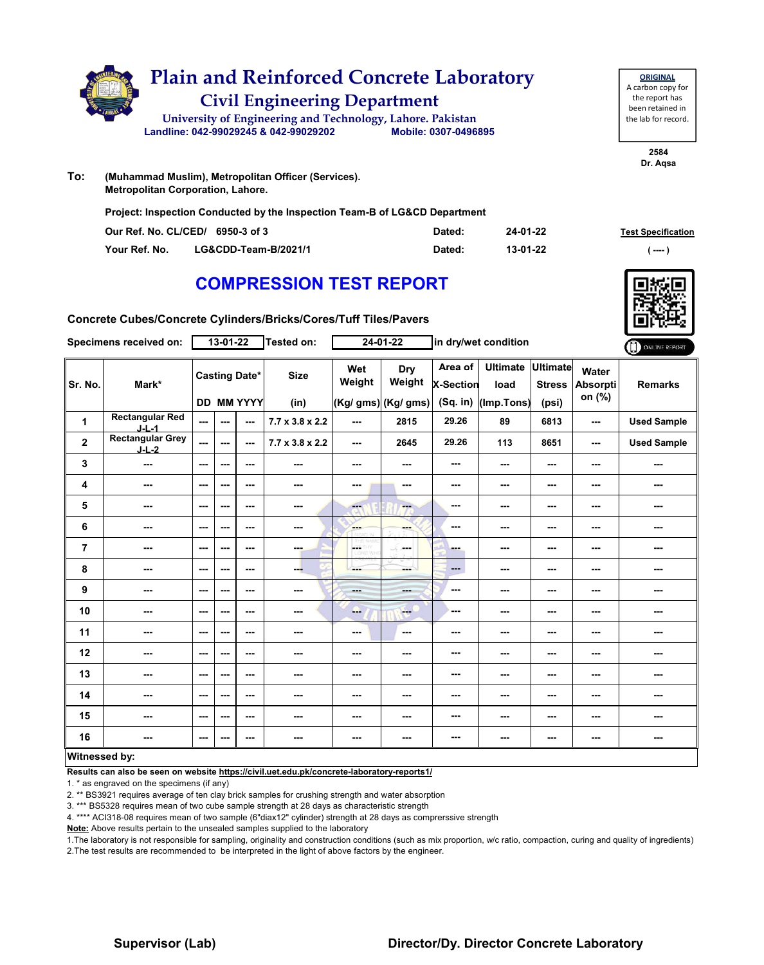

**ORIGINAL** A carbon copy for the report has been retained in the lab for record.

> **2584 Dr. Aqsa**

**To: (Muhammad Muslim), Metropolitan Officer (Services). Metropolitan Corporation, Lahore.**

**Project: Inspection Conducted by the Inspection Team-B of LG&CD Department** 

|               | Our Ref. No. CL/CED/ 6950-3 of 3 | Dated: | 24-01-22 | <b>Test Specification</b> |
|---------------|----------------------------------|--------|----------|---------------------------|
| Your Ref. No. | LG&CDD-Team-B/2021/1             | Dated: | 13-01-22 | $($ ---- )                |

# **COMPRESSION TEST REPORT**

**Concrete Cubes/Concrete Cylinders/Bricks/Cores/Tuff Tiles/Pavers**

|                         | Specimens received on:             |                          | $13 - 01 - 22$ |                                    | Tested on:                  |                          | $24 - 01 - 22$                       |                                           | in dry/wet condition                  |                                           |                             | ONLINE REPORT      |
|-------------------------|------------------------------------|--------------------------|----------------|------------------------------------|-----------------------------|--------------------------|--------------------------------------|-------------------------------------------|---------------------------------------|-------------------------------------------|-----------------------------|--------------------|
| Sr. No.                 | Mark*                              |                          |                | <b>Casting Date*</b><br>DD MM YYYY | <b>Size</b><br>(in)         | Wet<br>Weight            | Dry<br>Weight<br>(Kg/ gms) (Kg/ gms) | Area of<br><b>X-Section</b><br>$(Sq.$ in) | <b>Ultimate</b><br>load<br>(Imp.Tons) | <b>Ultimate</b><br><b>Stress</b><br>(psi) | Water<br>Absorpti<br>on (%) | <b>Remarks</b>     |
| 1                       | <b>Rectangular Red</b><br>$J-L-1$  | $\overline{\phantom{a}}$ | ---            | ---                                | $7.7 \times 3.8 \times 2.2$ | ---                      | 2815                                 | 29.26                                     | 89                                    | 6813                                      | ---                         | <b>Used Sample</b> |
| $\overline{\mathbf{2}}$ | <b>Rectangular Grey</b><br>$J-L-2$ | $\overline{a}$           | ---            | $- - -$                            | $7.7 \times 3.8 \times 2.2$ | $\sim$ $\sim$            | 2645                                 | 29.26                                     | 113                                   | 8651                                      | ---                         | <b>Used Sample</b> |
| 3                       | ---                                | $\overline{\phantom{a}}$ | ---            | ---                                | $\overline{\phantom{a}}$    | ---                      | ---                                  | ---                                       | ---                                   | $--$                                      | ---                         | ---                |
| 4                       | ---                                | $\overline{\phantom{a}}$ | ---            | ---                                | ---                         | ---                      | ---                                  | ---                                       | ---                                   | ---                                       | ---                         | ---                |
| 5                       | ---                                | $\sim$                   | ---            | ---                                | ---                         | ---                      | ---                                  | ---                                       | ---                                   | ---                                       | ---                         | ---                |
| 6                       | ---                                | $-$                      | ---            | ---                                | ---                         | ---                      | ---                                  | ---                                       | ---                                   | ---                                       | ---                         | ---                |
| $\overline{7}$          | ---                                | $\overline{\phantom{a}}$ | ---            | ---                                | ---                         | CETHY<br>CORD WH         | ---                                  | - -                                       | ---                                   | ---                                       | ---                         | ---                |
| 8                       | ---                                | $\overline{\phantom{a}}$ | ---            | $--$                               | ---                         | ---                      | <b>SHOP</b>                          | $\overline{a}$                            | ---                                   | ---                                       | ---                         | ---                |
| 9                       | ---                                | $\overline{\phantom{a}}$ | ---            | ---                                | ---                         | $- - -$                  | ---                                  | ---                                       | ---                                   | ---                                       | ---                         | ---                |
| 10                      | ---                                | $\sim$ $\sim$            | ---            | ---                                | ---                         | --                       | <b>Fee</b>                           | ---                                       | ---                                   | ---                                       | ---                         | ---                |
| 11                      | ---                                | $\sim$ $\sim$            | ---            | ---                                | $\cdots$                    | $\overline{\phantom{a}}$ | ---                                  | ---                                       | ---                                   | $--$                                      | ---                         | ---                |
| 12                      | ---                                | $\sim$                   | ---            | ---                                | $\overline{\phantom{a}}$    | ---                      | ---                                  | ---                                       | ---                                   | ---                                       | ---                         | ---                |
| 13                      | ---                                | $\sim$                   | ---            | ---                                | ---                         | ---                      | ---                                  | ---                                       | ---                                   | ---                                       | ---                         | ---                |
| 14                      | ---                                | $\sim$                   | ---            | ---                                | ---                         | ---                      | ---                                  | ---                                       | ---                                   | ---                                       | ---                         | ---                |
| 15                      | ---                                | $\sim$ $\sim$            | ---            | ---                                | ---                         | ---                      | ---                                  | ---                                       | ---                                   | ---                                       | ---                         | ---                |
| 16                      | ---                                | $\overline{\phantom{a}}$ | ---            | $--$                               | ---                         | ---                      | ---                                  | ---                                       | ---                                   | $--$                                      | ---                         | ---                |
| <b>Witnessed by:</b>    |                                    |                          |                |                                    |                             |                          |                                      |                                           |                                       |                                           |                             |                    |

#### **Witnessed by:**

**Results can also be seen on website https://civil.uet.edu.pk/concrete-laboratory-reports1/**

1. \* as engraved on the specimens (if any)

2. \*\* BS3921 requires average of ten clay brick samples for crushing strength and water absorption

3. \*\*\* BS5328 requires mean of two cube sample strength at 28 days as characteristic strength

4. \*\*\*\* ACI318-08 requires mean of two sample (6"diax12" cylinder) strength at 28 days as comprerssive strength

**Note:** Above results pertain to the unsealed samples supplied to the laboratory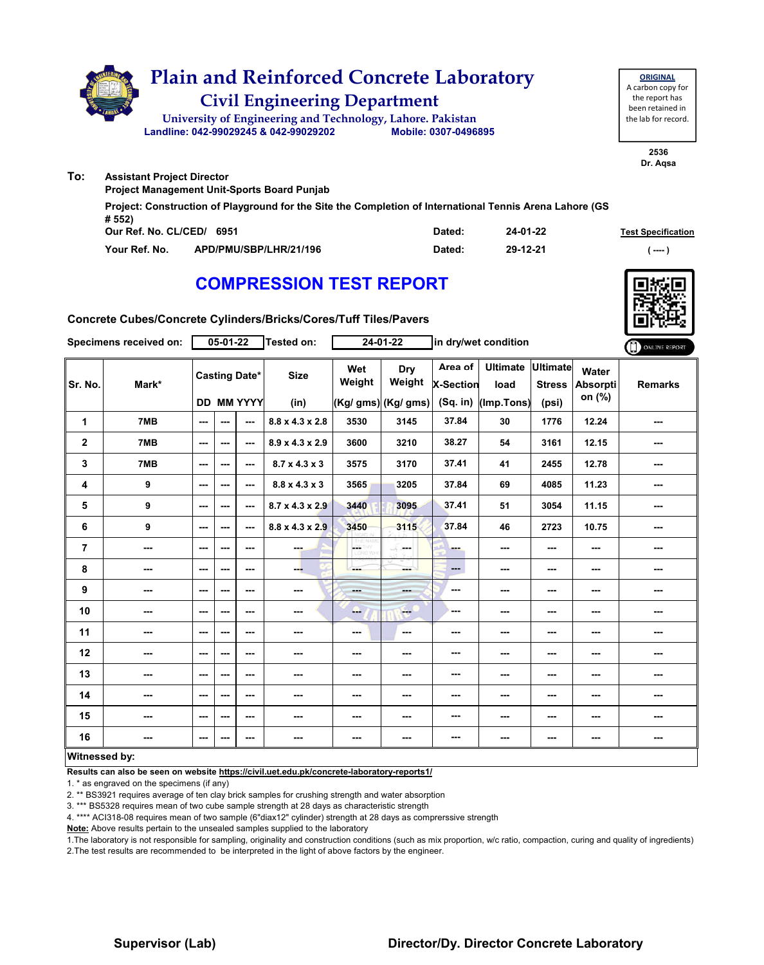

**Our Ref. No. CL/CED/ Dated: Test Specification 6951 Your Ref. No. APD/PMU/SBP/LHR/21/196 Dated: ( ---- ) Project: Construction of Playground for the Site the Completion of International Tennis Arena Lahore (GS # 552) 24-01-22 29-12-21**

### **COMPRESSION TEST REPORT**



**Concrete Cubes/Concrete Cylinders/Bricks/Cores/Tuff Tiles/Pavers**

|                | Specimens received on:   |                          | 05-01-22 |                                           | <b>Tested on:</b>           |                         | 24-01-22                                     | in dry/wet condition             |                                       |                                           |                                    | ONLINE REPORT  |
|----------------|--------------------------|--------------------------|----------|-------------------------------------------|-----------------------------|-------------------------|----------------------------------------------|----------------------------------|---------------------------------------|-------------------------------------------|------------------------------------|----------------|
| Sr. No.        | Mark*                    |                          |          | <b>Casting Date*</b><br><b>DD MM YYYY</b> | <b>Size</b><br>(in)         | Wet<br>Weight           | <b>Dry</b><br>Weight<br>$(Kg/gms)$ (Kg/ gms) | Area of<br>X-Section<br>(Sq. in) | <b>Ultimate</b><br>load<br>(Imp.Tons) | <b>Ultimate</b><br><b>Stress</b><br>(psi) | Water<br><b>Absorpti</b><br>on (%) | <b>Remarks</b> |
| 1              | 7MB                      | $\overline{\phantom{a}}$ | ---      | ---                                       | 8.8 x 4.3 x 2.8             | 3530                    | 3145                                         | 37.84                            | 30                                    | 1776                                      | 12.24                              | ---            |
| $\mathbf 2$    | 7MB                      | $\sim$                   | ---      | ---                                       | $8.9 \times 4.3 \times 2.9$ | 3600                    | 3210                                         | 38.27                            | 54                                    | 3161                                      | 12.15                              | ---            |
| 3              | 7MB                      | $\sim$                   | ---      | $\sim$                                    | $8.7 \times 4.3 \times 3$   | 3575                    | 3170                                         | 37.41                            | 41                                    | 2455                                      | 12.78                              | ---            |
| 4              | 9                        | $\overline{a}$           | ---      | ---                                       | $8.8 \times 4.3 \times 3$   | 3565                    | 3205                                         | 37.84                            | 69                                    | 4085                                      | 11.23                              | ---            |
| 5              | 9                        | $\sim$ $\sim$            | ---      | $\sim$                                    | $8.7 \times 4.3 \times 2.9$ | 3440                    | 3095                                         | 37.41                            | 51                                    | 3054                                      | 11.15                              | ---            |
| 6              | 9                        | $\overline{\phantom{a}}$ | ---      | ---                                       | $8.8 \times 4.3 \times 2.9$ | 3450                    | 3115                                         | 37.84                            | 46                                    | 2723                                      | 10.75                              | ---            |
| $\overline{7}$ | $\sim$                   | ---                      | ---      | ---                                       | ---                         | <b>GETHY</b><br>LORD WH | LE.<br>مسمار                                 | <b>PO 10</b>                     | ---                                   | ---                                       | ---                                | ---            |
| 8              | $\overline{\phantom{a}}$ | $\sim$                   | ---      | $\overline{\phantom{a}}$                  | ---                         | ---                     | ---                                          | $\qquad \qquad -$                | $\sim$ $\sim$                         | ---                                       | ---                                | ---            |
| 9              | ---                      | $\sim$                   | ---      | ---                                       | ---                         | ---                     | ---                                          | $\overline{\phantom{a}}$         | $\sim$ $\sim$                         | ---                                       | ---                                | ---            |
| 10             | ---                      | $\sim$                   | ---      | ---                                       | ---                         | ---                     | ---                                          | ---                              | ---                                   | ---                                       | ---                                | ---            |
| 11             | $\overline{\phantom{a}}$ | $\sim$ $\sim$            | ---      | ---                                       | ---                         | ---                     | $\overline{\phantom{a}}$                     | ---                              | ---                                   | ---                                       | ---                                | ---            |
| 12             | ---                      | $\sim$                   | ---      | ---                                       | ---                         | ---                     | ---                                          | ---                              | ---                                   | ---                                       | ---                                | ---            |
| 13             | ---                      | $-$                      | ---      | $-$                                       | ---                         | ---                     | ---                                          | ---                              | ---                                   | ---                                       | ---                                | ---            |
| 14             | $\overline{\phantom{a}}$ | $\sim$                   | ---      | ---                                       | ---                         | $\sim$                  | ---                                          | ---                              | ---                                   | ---                                       | ---                                | ---            |
| 15             | ---                      | ---                      | ---      | ---                                       | ---                         | ---                     | ---                                          | ---                              | ---                                   | ---                                       | ---                                | ---            |
| 16             | ---                      | $\overline{\phantom{a}}$ | ---      | $\sim$ $\sim$                             | ---                         | ---                     | ---                                          | ---                              | $\sim$ $\sim$                         | ---                                       | ---                                | ---            |
| Witnessed by:  |                          |                          |          |                                           |                             |                         |                                              |                                  |                                       |                                           |                                    |                |

### **Witnessed by:**

**Results can also be seen on website https://civil.uet.edu.pk/concrete-laboratory-reports1/**

1. \* as engraved on the specimens (if any)

2. \*\* BS3921 requires average of ten clay brick samples for crushing strength and water absorption

3. \*\*\* BS5328 requires mean of two cube sample strength at 28 days as characteristic strength

4. \*\*\*\* ACI318-08 requires mean of two sample (6"diax12" cylinder) strength at 28 days as comprerssive strength

**Note:** Above results pertain to the unsealed samples supplied to the laboratory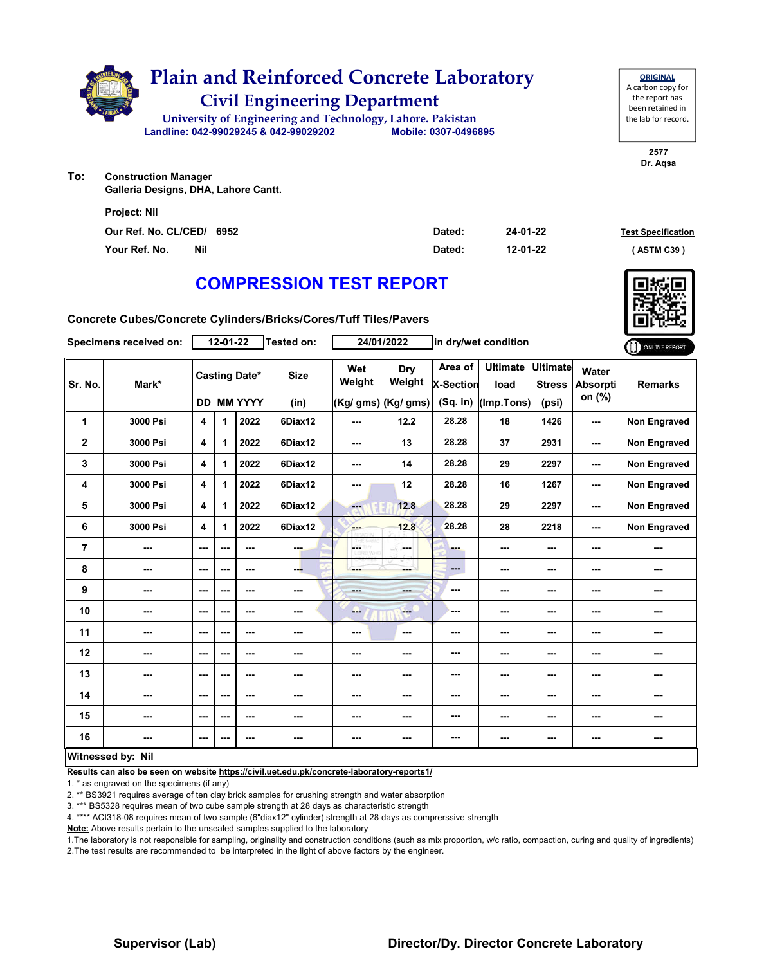

**2577 Dr. Aqsa**

**To: Construction Manager Galleria Designs, DHA, Lahore Cantt.**

| <b>Project: Nil</b>       |        |          |                           |
|---------------------------|--------|----------|---------------------------|
| Our Ref. No. CL/CED/ 6952 | Dated: | 24-01-22 | <b>Test Specification</b> |
| Your Ref. No.<br>Nil      | Dated: | 12-01-22 | (ASTM C39)                |

# **COMPRESSION TEST REPORT**

**Concrete Cubes/Concrete Cylinders/Bricks/Cores/Tuff Tiles/Pavers**

|                         | Specimens received on: |         | 12-01-22 |                      | Tested on:  |               | 24/01/2022           |                             | in dry/wet condition    |                                  |                                    | ONLINE REPORT       |
|-------------------------|------------------------|---------|----------|----------------------|-------------|---------------|----------------------|-----------------------------|-------------------------|----------------------------------|------------------------------------|---------------------|
| Sr. No.                 | Mark*                  |         |          | <b>Casting Date*</b> | <b>Size</b> | Wet<br>Weight | <b>Dry</b><br>Weight | Area of<br><b>X-Section</b> | <b>Ultimate</b><br>load | <b>Ultimate</b><br><b>Stress</b> | Water<br><b>Absorpti</b><br>on (%) | <b>Remarks</b>      |
|                         |                        |         |          | DD MM YYYY           | (in)        |               | (Kg/ gms) (Kg/ gms)  | (Sq. in)                    | (Imp.Tons)              | (psi)                            |                                    |                     |
| $\mathbf{1}$            | 3000 Psi               | 4       | 1        | 2022                 | 6Diax12     | $--$          | 12.2                 | 28.28                       | 18                      | 1426                             | ---                                | Non Engraved        |
| $\mathbf{2}$            | 3000 Psi               | 4       | 1        | 2022                 | 6Diax12     | ---           | 13                   | 28.28                       | 37                      | 2931                             | ---                                | <b>Non Engraved</b> |
| 3                       | 3000 Psi               | 4       | 1        | 2022                 | 6Diax12     | ---           | 14                   | 28.28                       | 29                      | 2297                             | ---                                | <b>Non Engraved</b> |
| 4                       | 3000 Psi               | 4       | 1        | 2022                 | 6Diax12     | ---           | 12                   | 28.28                       | 16                      | 1267                             | ---                                | <b>Non Engraved</b> |
| 5                       | 3000 Psi               | 4       | 1        | 2022                 | 6Diax12     | ---           | 12.8                 | 28.28                       | 29                      | 2297                             | ---                                | Non Engraved        |
| 6                       | 3000 Psi               | 4       | 1        | 2022                 | 6Diax12     | <b>AMP</b>    | 12.8                 | 28.28                       | 28                      | 2218                             | ---                                | <b>Non Engraved</b> |
| $\overline{\mathbf{r}}$ | ---                    | ---     | ---      | ---                  | ---         | ÷             | <b>Security</b>      | ---                         | ---                     | ---                              | ---                                | ---                 |
| 8                       | ---                    | ---     | ---      | ---                  | ---         |               | ---                  | ---                         | ---                     | $--$                             | ---                                | ---                 |
| 9                       | ---                    | ---     | ---      | ---                  | ---         | ---           | ---                  | ---                         | ---                     | ---                              | ---                                | ---                 |
| 10                      | ---                    | ---     | ---      | ---                  | ---         | ---           | $-$                  | ---                         | ---                     | ---                              | ---                                | ---                 |
| 11                      | ---                    | ---     | ---      | ---                  | ---         | $--$          | ---                  | ---                         | ---                     | ---                              | ---                                | ---                 |
| 12                      | ---                    | ---     | ---      | ---                  | ---         | ---           | ---                  | ---                         | ---                     | ---                              | ---                                | ---                 |
| 13                      | ---                    | ---     | ---      | ---                  | ---         | ---           | ---                  | ---                         | ---                     | $--$                             | ---                                | ---                 |
| 14                      | ---                    | ---     | ---      | ---                  | ---         | ---           | ---                  | ---                         | ---                     | ---                              | ---                                | ---                 |
| 15                      | ---                    | ---     | ---      | ---                  | ---         | ---           | ---                  | ---                         | ---                     | ---                              | ---                                | ---                 |
| 16                      | ---                    | $- - -$ |          | ---                  | ---         | ---           | ---                  | ---                         | ---                     | ---                              | ---                                | ---                 |
|                         | Witnessed by: Nil      |         |          |                      |             |               |                      |                             |                         |                                  |                                    |                     |

**Results can also be seen on website https://civil.uet.edu.pk/concrete-laboratory-reports1/**

1. \* as engraved on the specimens (if any)

2. \*\* BS3921 requires average of ten clay brick samples for crushing strength and water absorption

3. \*\*\* BS5328 requires mean of two cube sample strength at 28 days as characteristic strength

4. \*\*\*\* ACI318-08 requires mean of two sample (6"diax12" cylinder) strength at 28 days as comprerssive strength

**Note:** Above results pertain to the unsealed samples supplied to the laboratory

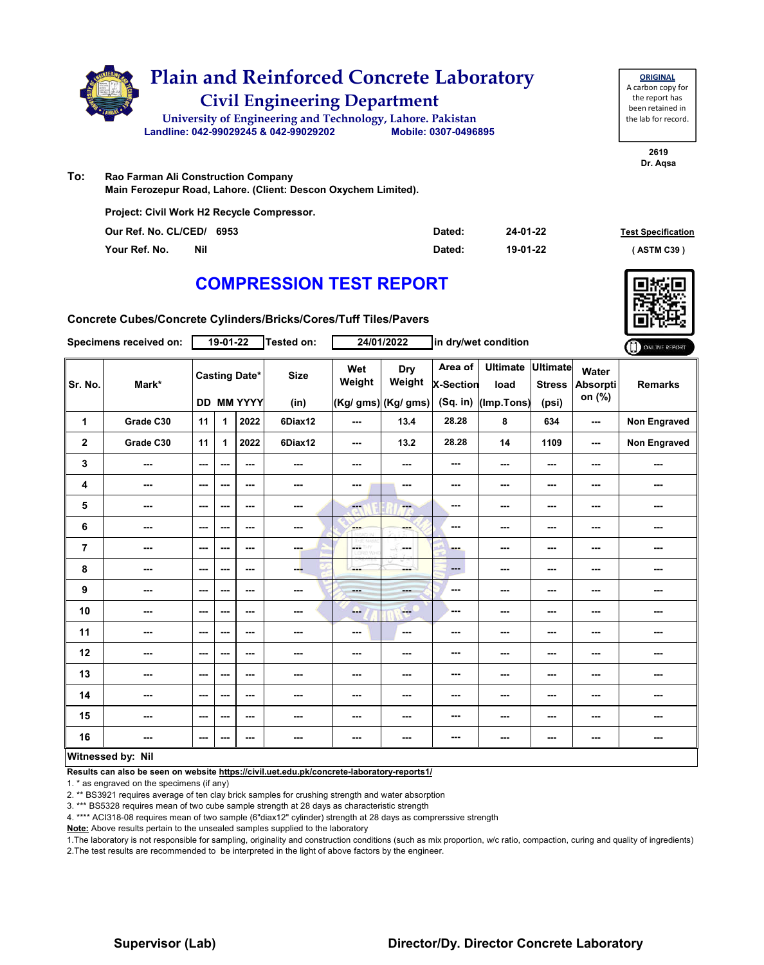

| <b>ORIGINAL</b>     |
|---------------------|
| A carbon copy for   |
| the report has      |
| been retained in    |
| the lab for record. |
|                     |

**2619 Dr. Aqsa**

**To: Rao Farman Ali Construction Company Main Ferozepur Road, Lahore. (Client: Descon Oxychem Limited).**

**Project: Civil Work H2 Recycle Compressor.** 

| Our Ref. No. CL/CED/ 6953 | Dated: | 24-01-22 | <b>Test Specification</b> |
|---------------------------|--------|----------|---------------------------|
| Your Ref. No.<br>Nil      | Dated: | 19-01-22 | (ASTM C39)                |

# **COMPRESSION TEST REPORT**



**Concrete Cubes/Concrete Cylinders/Bricks/Cores/Tuff Tiles/Pavers**

|                | Specimens received on: |               | $19-01-22$ |                                           | Tested on:          |                         | 24/01/2022                           |                                           | in dry/wet condition                  |                                           |                             | ONLINE REPORT       |
|----------------|------------------------|---------------|------------|-------------------------------------------|---------------------|-------------------------|--------------------------------------|-------------------------------------------|---------------------------------------|-------------------------------------------|-----------------------------|---------------------|
| Sr. No.        | Mark*                  |               |            | <b>Casting Date*</b><br><b>DD MM YYYY</b> | <b>Size</b><br>(in) | Wet<br>Weight           | Dry<br>Weight<br>(Kg/ gms) (Kg/ gms) | Area of<br><b>X-Section</b><br>$(Sq.$ in) | <b>Ultimate</b><br>load<br>(Imp.Tons) | <b>Ultimate</b><br><b>Stress</b><br>(psi) | Water<br>Absorpti<br>on (%) | <b>Remarks</b>      |
| 1              | Grade C30              | 11            | 1          | 2022                                      | 6Diax12             | ---                     | 13.4                                 | 28.28                                     | 8                                     | 634                                       | ---                         | <b>Non Engraved</b> |
| $\mathbf 2$    | Grade C30              | 11            | 1          | 2022                                      | 6Diax12             | $\sim$ $\sim$           | 13.2                                 | 28.28                                     | 14                                    | 1109                                      | ---                         | Non Engraved        |
| 3              | ---                    | $--$          | ---        | ---                                       | $\overline{a}$      | ---                     | ---                                  | ---                                       | ---                                   | ---                                       | ---                         | ---                 |
| 4              | ---                    | $\sim$ $\sim$ | ---        | ---                                       | ---                 | ---                     | $\sim$                               | ---                                       | ---                                   | $--$                                      | ---                         | ---                 |
| 5              | $\sim$                 | $\sim$ $\sim$ | ---        | $- - -$                                   | ---                 | $\overline{\mathbf{a}}$ | ---                                  | ---                                       | ---                                   | ---                                       | ---                         | ---                 |
| 6              | ---                    | ---           | ---        | ---                                       | $\cdots$            | <b>SHOP</b>             | ---                                  | ---                                       | ---                                   | ---                                       | ---                         | ---                 |
| $\overline{7}$ | ---                    | ---           | ---        | ---                                       | ---                 | <b>OETHY</b>            | محمد                                 | ш.                                        | ---                                   | ---                                       | ---                         | ---                 |
| 8              | ---                    | $\sim$ $\sim$ | ---        | ---                                       | ---                 | ---                     | ---                                  | ---                                       | ---                                   | $--$                                      | ---                         | ---                 |
| 9              | ---                    | $\sim$ $\sim$ | ---        | $--$                                      | $\frac{1}{2}$       | <b>Barbara</b>          | ---                                  | ---                                       | ---                                   | ---                                       | ---                         | ---                 |
| 10             | ---                    | $--$          | ---        | $--$                                      | ---                 | ---                     | <b>Here</b>                          | ---                                       | ---                                   | ---                                       | ---                         | ---                 |
| 11             | ---                    | $--$          | ---        | ---                                       | ---                 | ---                     | $\sim$                               | ---                                       | ---                                   | ---                                       | ---                         | ---                 |
| 12             | $\sim$                 | $\sim$ $\sim$ | ---        | ---                                       | $\sim$              | ---                     | ---                                  | ---                                       | ---                                   | ---                                       | ---                         | ---                 |
| 13             | ---                    | ---           | ---        | ---                                       | ---                 | ---                     | ---                                  | ---                                       | ---                                   | ---                                       | ---                         | ---                 |
| 14             | ---                    | $--$          | ---        | $--$                                      | ---                 | ---                     | ---                                  | ---                                       | ---                                   | ---                                       | ---                         | ---                 |
| 15             | ---                    | $\sim$ $\sim$ | ---        | ---                                       | ---                 | ---                     |                                      | ---                                       | ---                                   | ---                                       | ---                         | ---                 |
| 16             | ---                    | ---           | ---        | ---                                       | $\sim$              | ---                     | ---                                  | ---                                       | ---                                   | ---                                       | ---                         | ---                 |
|                | Witnessed by: Nil      |               |            |                                           |                     |                         |                                      |                                           |                                       |                                           |                             |                     |

### **Witnessed by: Nil**

**Results can also be seen on website https://civil.uet.edu.pk/concrete-laboratory-reports1/**

1. \* as engraved on the specimens (if any)

2. \*\* BS3921 requires average of ten clay brick samples for crushing strength and water absorption

3. \*\*\* BS5328 requires mean of two cube sample strength at 28 days as characteristic strength

4. \*\*\*\* ACI318-08 requires mean of two sample (6"diax12" cylinder) strength at 28 days as comprerssive strength

**Note:** Above results pertain to the unsealed samples supplied to the laboratory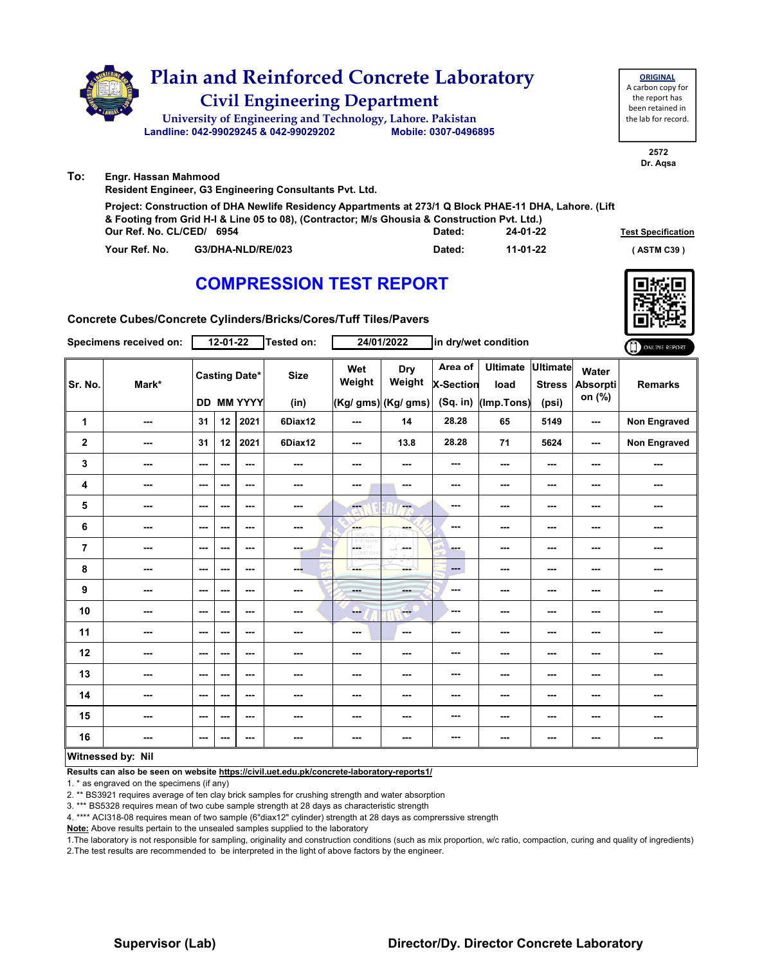

|               |                           | & Footing from Grid H-I & Line 05 to 08), (Contractor; M/s Ghousia & Construction Pvt. Ltd.) |          |                           |  |  |  |  |  |  |  |  |
|---------------|---------------------------|----------------------------------------------------------------------------------------------|----------|---------------------------|--|--|--|--|--|--|--|--|
|               | Our Ref. No. CL/CED/ 6954 | Dated:                                                                                       | 24-01-22 | <b>Test Specification</b> |  |  |  |  |  |  |  |  |
| Your Ref. No. | G3/DHA-NLD/RE/023         | Dated:                                                                                       | 11-01-22 | (ASTM C39)                |  |  |  |  |  |  |  |  |



**Concrete Cubes/Concrete Cylinders/Bricks/Cores/Tuff Tiles/Pavers**

|                | Specimens received on:   |                          | 12-01-22 |                                    | Tested on:          |                          | 24/01/2022                                                                                                                                                                                                                                                                                                                                                                                                            |                                  | in dry/wet condition                  |                                           |                                    | ONLINE REPORT  |
|----------------|--------------------------|--------------------------|----------|------------------------------------|---------------------|--------------------------|-----------------------------------------------------------------------------------------------------------------------------------------------------------------------------------------------------------------------------------------------------------------------------------------------------------------------------------------------------------------------------------------------------------------------|----------------------------------|---------------------------------------|-------------------------------------------|------------------------------------|----------------|
| Sr. No.        | Mark*                    |                          |          | <b>Casting Date*</b><br>DD MM YYYY | <b>Size</b><br>(in) | Wet<br>Weight            | <b>Dry</b><br>Weight<br>(Kg/ gms) (Kg/ gms)                                                                                                                                                                                                                                                                                                                                                                           | Area of<br>X-Section<br>(Sq. in) | <b>Ultimate</b><br>load<br>(Imp.Tons) | <b>Ultimate</b><br><b>Stress</b><br>(psi) | Water<br><b>Absorpti</b><br>on (%) | <b>Remarks</b> |
| $\mathbf{1}$   | ---                      | 31                       | 12       | 2021                               | 6Diax12             | $\overline{\phantom{a}}$ | 14                                                                                                                                                                                                                                                                                                                                                                                                                    | 28.28                            | 65                                    | 5149                                      | $\sim$ $\sim$                      | Non Engraved   |
| $\mathbf{2}$   | ---                      | 31                       | 12       | 2021                               | 6Diax12             | $--$                     | 13.8                                                                                                                                                                                                                                                                                                                                                                                                                  | 28.28                            | 71                                    | 5624                                      | $\sim$ $\sim$                      | Non Engraved   |
| 3              | $\sim$                   | $\sim$                   | ---      | $--$                               | $\sim$              | ---                      | ---                                                                                                                                                                                                                                                                                                                                                                                                                   | ---                              | ---                                   | ---                                       | $\sim$ $\sim$                      | ---            |
| 4              | $\sim$                   | $-$                      | ---      | ---                                | ---                 | ---                      | ---                                                                                                                                                                                                                                                                                                                                                                                                                   | ---                              | ---                                   | ---                                       | ---                                | ---            |
| 5              | $\sim$                   | $\overline{\phantom{a}}$ | ---      | ---                                | $\sim$              | ---                      | ---                                                                                                                                                                                                                                                                                                                                                                                                                   | ---                              | ---                                   | ---                                       | $- - -$                            | ---            |
| 6              | ---                      | $\overline{\phantom{a}}$ | ---      | ---                                | ---                 | <b>Albert</b>            | ---                                                                                                                                                                                                                                                                                                                                                                                                                   | ---                              | ---                                   | ---                                       | ---                                | ---            |
| $\overline{7}$ | $\overline{\phantom{a}}$ | $\sim$ $\sim$            | ---      | $--$                               | man.                | OETHY<br>LORD WH         | in an                                                                                                                                                                                                                                                                                                                                                                                                                 | ---                              | $--$                                  | ---                                       | ---                                | ---            |
| 8              | ---                      | $\sim$                   | ---      | ---                                | ---                 | ---                      | ---                                                                                                                                                                                                                                                                                                                                                                                                                   | ---                              | ---                                   | ---                                       | ---                                | ---            |
| 9              | ---                      | $\overline{\phantom{a}}$ | ---      | $--$                               | ---                 | ---                      | <b>AND</b>                                                                                                                                                                                                                                                                                                                                                                                                            | ---                              | ---                                   | ---                                       | ---                                | ---            |
| 10             | ---                      | $\overline{\phantom{a}}$ | ---      | ---                                | ---                 | ---                      | $\frac{1}{1-\frac{1}{1-\frac{1}{1-\frac{1}{1-\frac{1}{1-\frac{1}{1-\frac{1}{1-\frac{1}{1-\frac{1}{1-\frac{1}{1-\frac{1}{1-\frac{1}{1-\frac{1}{1-\frac{1}{1-\frac{1}{1-\frac{1}{1-\frac{1}{1-\frac{1}{1-\frac{1}{1-\frac{1}{1-\frac{1}{1-\frac{1}{1-\frac{1}{1-\frac{1}{1-\frac{1}{1-\frac{1}{1-\frac{1}{1-\frac{1}{1-\frac{1}{1-\frac{1}{1-\frac{1}{1-\frac{1}{1-\frac{1}{1-\frac{1}{1-\frac{1}{1-\frac{1}{1-\frac{1$ | ---                              | ---                                   | ---                                       | ---                                | ---            |
| 11             | $--$                     | $\overline{\phantom{a}}$ | ---      | ---                                | ---                 | ---                      | ---                                                                                                                                                                                                                                                                                                                                                                                                                   | ---                              | ---                                   | ---                                       | ---                                | ---            |
| 12             | ---                      | $\overline{\phantom{a}}$ | ---      | ---                                | ---                 | ---                      | ---                                                                                                                                                                                                                                                                                                                                                                                                                   | ---                              | ---                                   | ---                                       | ---                                | ---            |
| 13             | ---                      | $\sim$                   | ---      | $--$                               | ---                 | ---                      | ---                                                                                                                                                                                                                                                                                                                                                                                                                   | ---                              | ---                                   | ---                                       | ---                                |                |
| 14             | ---                      | $-$                      | ---      | ---                                | ---                 | ---                      | ---                                                                                                                                                                                                                                                                                                                                                                                                                   | ---                              | ---                                   | ---                                       | ---                                | ---            |
| 15             | $- - -$                  | $\sim$ $\sim$            | ---      | ---                                | ---                 | ---                      | ---                                                                                                                                                                                                                                                                                                                                                                                                                   | ---                              | ---                                   | ---                                       | ---                                | ---            |
| 16             | ---                      | $\sim$                   | ---      | $--$                               | ---                 | ---                      | ---                                                                                                                                                                                                                                                                                                                                                                                                                   | ---                              | ---                                   | ---                                       | ---                                | ---            |
|                | Witnessed by: Nil        |                          |          |                                    |                     |                          |                                                                                                                                                                                                                                                                                                                                                                                                                       |                                  |                                       |                                           |                                    |                |

### **Witnessed by: Nil**

**Results can also be seen on website https://civil.uet.edu.pk/concrete-laboratory-reports1/**

1. \* as engraved on the specimens (if any)

2. \*\* BS3921 requires average of ten clay brick samples for crushing strength and water absorption

3. \*\*\* BS5328 requires mean of two cube sample strength at 28 days as characteristic strength

4. \*\*\*\* ACI318-08 requires mean of two sample (6"diax12" cylinder) strength at 28 days as comprerssive strength

**Note:** Above results pertain to the unsealed samples supplied to the laboratory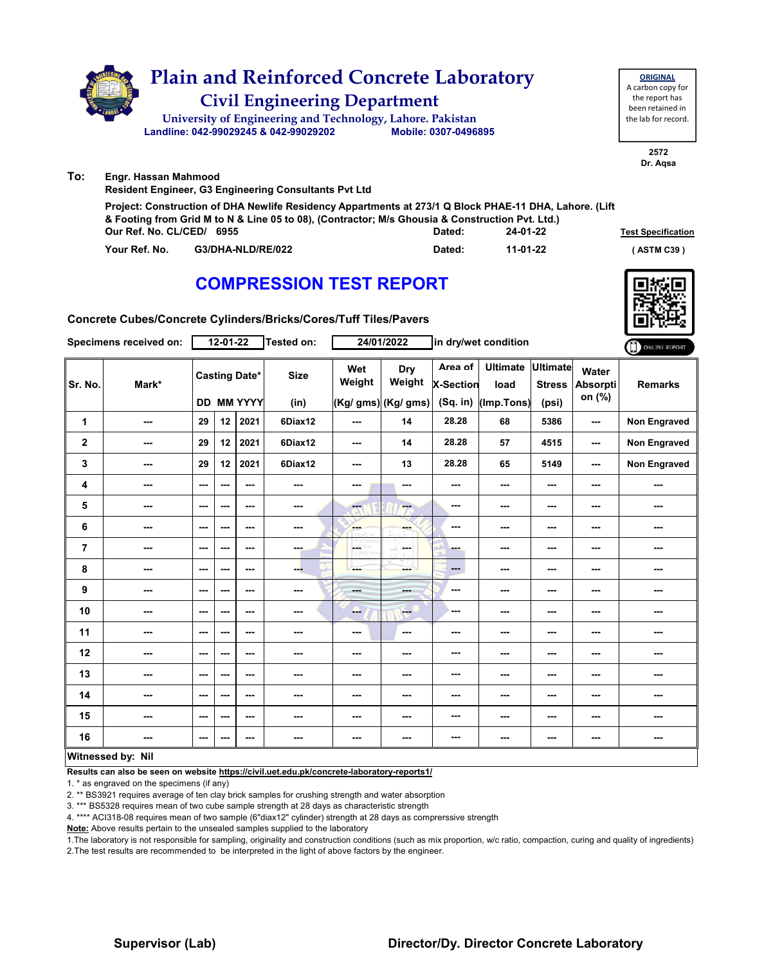

**Your Ref. No. G3/DHA-NLD/RE/022 Dated: ( ASTM C39 )**

**11-01-22**

### **COMPRESSION TEST REPORT**

**Concrete Cubes/Concrete Cylinders/Bricks/Cores/Tuff Tiles/Pavers**

|             | Specimens received on: |      | $12 - 01 - 22$           |                                           | Tested on:          |                          | 24/01/2022                           | in dry/wet condition                      |                                       |                                           | ONLINE REPORT               |                     |
|-------------|------------------------|------|--------------------------|-------------------------------------------|---------------------|--------------------------|--------------------------------------|-------------------------------------------|---------------------------------------|-------------------------------------------|-----------------------------|---------------------|
| Sr. No.     | Mark*                  |      |                          | <b>Casting Date*</b><br><b>DD MM YYYY</b> | <b>Size</b><br>(in) | Wet<br>Weight            | Dry<br>Weight<br>(Kg/ gms) (Kg/ gms) | Area of<br><b>X-Section</b><br>$(Sq.$ in) | <b>Ultimate</b><br>load<br>(Imp.Tons) | <b>Ultimate</b><br><b>Stress</b><br>(psi) | Water<br>Absorpti<br>on (%) | <b>Remarks</b>      |
| 1           | ---                    | 29   | 12                       | 2021                                      | 6Diax12             | $--$                     | 14                                   | 28.28                                     | 68                                    | 5386                                      | $\sim$                      | <b>Non Engraved</b> |
| $\mathbf 2$ | ---                    | 29   | 12                       | 2021                                      | 6Diax12             | $\sim$ $\sim$            | 14                                   | 28.28                                     | 57                                    | 4515                                      | $\sim$ $\sim$               | Non Engraved        |
| 3           | ---                    | 29   | 12                       | 2021                                      | 6Diax12             | ---                      | 13                                   | 28.28                                     | 65                                    | 5149                                      | $\sim$ $\sim$               | Non Engraved        |
| 4           | ---                    | $--$ | ---                      | $--$                                      |                     | ---                      | ---                                  | ---                                       | $\overline{\phantom{a}}$              | ---                                       | $\sim$                      | ---                 |
| 5           | ---                    | ---  | ---                      | $--$                                      | ---                 | ---                      | ---                                  | ---                                       | ---                                   | ---                                       | $\sim$                      | ---                 |
| 6           | ---                    | ---  | ---                      | $--$                                      | ---                 | <b>SHOP</b>              | ---                                  | ---                                       | ---                                   | ---                                       | ---                         | ---                 |
| 7           | ---                    | ---  | ---                      | ---                                       | ---                 | L.<br>HY.                | ---                                  | <b>Barbara</b>                            | ---                                   | ---                                       | ---                         | ---                 |
| 8           | ---                    | ---  | ---                      | ---                                       | ---                 | ---                      | ---                                  | ---                                       | ---                                   | ---                                       | ---                         | ---                 |
| 9           | ---                    | $--$ | $\cdots$                 | $--$                                      | ---                 | ---                      | ---                                  | ---                                       | ---                                   | ---                                       | ---                         | ---                 |
| 10          | ---                    | ---  | ---                      | ---                                       | ---                 | --                       | $-$                                  | ---                                       | ---                                   | ---                                       | ---                         | ---                 |
| 11          | ---                    | ---  | ---                      | ---                                       | ---                 | $\overline{\phantom{a}}$ | ---                                  | ---                                       | ---                                   | ---                                       | ---                         | ---                 |
| 12          | ---                    | ---  | $\overline{\phantom{a}}$ | ---                                       | ---                 | ---                      | ---                                  | ---                                       | ---                                   | ---                                       | ---                         |                     |
| 13          | ---                    | $--$ | $\overline{\phantom{a}}$ | $--$                                      | ---                 | $\overline{\phantom{a}}$ | ---                                  | ---                                       | ---                                   | ---                                       | $\sim$                      |                     |
| 14          | ---                    | ---  | ---                      | ---                                       |                     | ---                      | ---                                  | ---                                       | ---                                   | ---                                       | ---                         | ---                 |
| 15          | ---                    | ---  | ---                      | ---                                       | ---                 | ---                      | ---                                  | ---                                       | ---                                   | ---                                       | ---                         | ---                 |
| 16          | ---                    | $--$ | ---                      | ---                                       | ---                 | ---                      | ---                                  | ---                                       | ---                                   | ---                                       | ---                         | ---                 |
|             | Mitnoccod by: Nil      |      |                          |                                           |                     |                          |                                      |                                           |                                       |                                           |                             |                     |

#### **Witnessed by: Nil**

**Results can also be seen on website https://civil.uet.edu.pk/concrete-laboratory-reports1/**

1. \* as engraved on the specimens (if any)

2. \*\* BS3921 requires average of ten clay brick samples for crushing strength and water absorption

3. \*\*\* BS5328 requires mean of two cube sample strength at 28 days as characteristic strength

4. \*\*\*\* ACI318-08 requires mean of two sample (6"diax12" cylinder) strength at 28 days as comprerssive strength

**Note:** Above results pertain to the unsealed samples supplied to the laboratory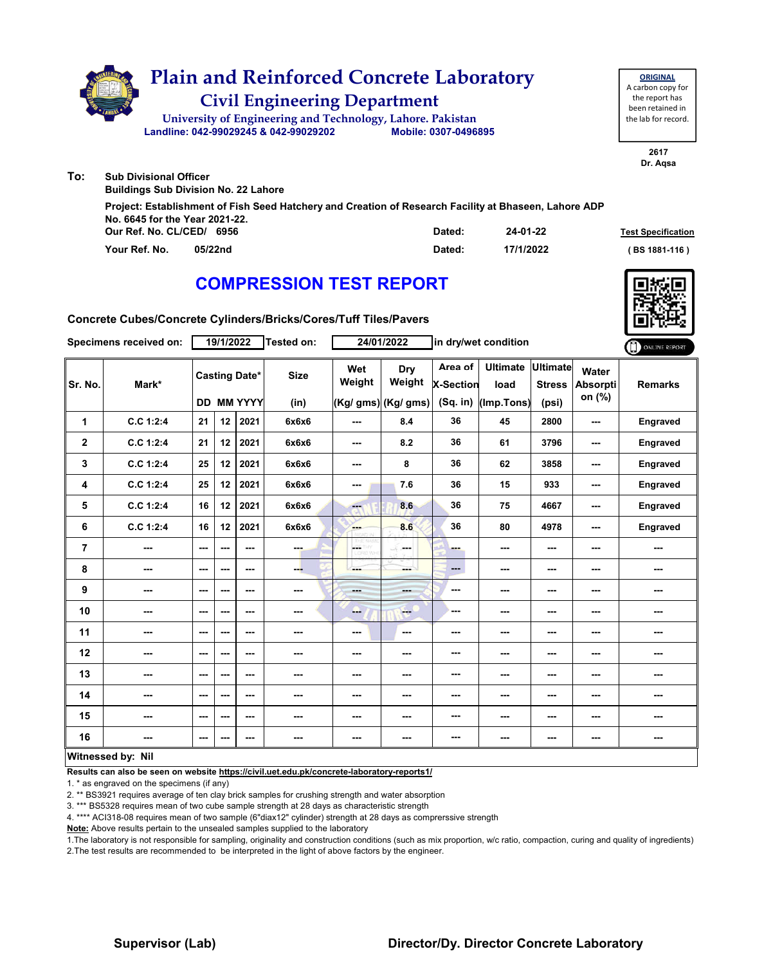|     | <b>Plain and Reinforced Concrete Laboratory</b><br><b>Civil Engineering Department</b><br>University of Engineering and Technology, Lahore. Pakistan<br>Landline: 042-99029245 & 042-99029202<br>Mobile: 0307-0496895 | <b>ORIGINAL</b><br>A carbon copy for<br>the report has<br>been retained in<br>the lab for record. |  |
|-----|-----------------------------------------------------------------------------------------------------------------------------------------------------------------------------------------------------------------------|---------------------------------------------------------------------------------------------------|--|
| To: | <b>Sub Divisional Officer</b>                                                                                                                                                                                         | 2617<br>Dr. Agsa                                                                                  |  |
|     | <b>Buildings Sub Division No. 22 Lahore</b>                                                                                                                                                                           |                                                                                                   |  |
|     | Project: Establishment of Fish Seed Hatchery and Creation of Research Facility at Bhaseen, Lahore ADP<br>No. 6645 for the Year 2021-22.                                                                               |                                                                                                   |  |

| Our Ref. No. CL/CED/ 6956 |         | Dated: | 24-01-22  | <b>Test Specification</b> |
|---------------------------|---------|--------|-----------|---------------------------|
| Your Ref. No.             | 05/22nd | Dated: | 17/1/2022 | (BS 1881-116 )            |

**Concrete Cubes/Concrete Cylinders/Bricks/Cores/Tuff Tiles/Pavers**

|                | Specimens received on: |         | 19/1/2022                |                                           | Tested on:          |                                                          | 24/01/2022                             |                                    | in dry/wet condition                  |                                    |                                    | O ONLINE REPORT |
|----------------|------------------------|---------|--------------------------|-------------------------------------------|---------------------|----------------------------------------------------------|----------------------------------------|------------------------------------|---------------------------------------|------------------------------------|------------------------------------|-----------------|
| Sr. No.        | Mark*                  |         |                          | <b>Casting Date*</b><br><b>DD MM YYYY</b> | <b>Size</b><br>(in) | Wet<br>Weight                                            | Dry<br>Weight<br>$ (Kg/gms) $ (Kg/gms) | Area of<br>X-Section<br>$(Sq.$ in) | <b>Ultimate</b><br>load<br>(Imp.Tons) | Ultimate<br><b>Stress</b><br>(psi) | Water<br><b>Absorpti</b><br>on (%) | <b>Remarks</b>  |
| 1              | C.C 1:2:4              | 21      | 12 <sup>2</sup>          | 2021                                      | 6x6x6               | $\sim$ $\sim$                                            | 8.4                                    | 36                                 | 45                                    | 2800                               | $\sim$ $\sim$                      | Engraved        |
| $\mathbf 2$    | C.C 1:2:4              | 21      | 12                       | 2021                                      | 6x6x6               | $\overline{\phantom{a}}$                                 | 8.2                                    | 36                                 | 61                                    | 3796                               | $\sim$ $\sim$                      | Engraved        |
| 3              | C.C 1:2:4              | 25      | 12                       | 2021                                      | 6x6x6               | ---                                                      | 8                                      | 36                                 | 62                                    | 3858                               | ---                                | Engraved        |
| 4              | C.C 1:2:4              | 25      | 12                       | 2021                                      | 6x6x6               | $--$                                                     | 7.6                                    | 36                                 | 15                                    | 933                                | $\sim$                             | <b>Engraved</b> |
| 5              | C.C 1:2:4              | 16      | 12                       | 2021                                      | 6x6x6               | ---                                                      | 8.6                                    | 36                                 | 75                                    | 4667                               | ---                                | Engraved        |
| 6              | C.C 1:2:4              | 16      | 12                       | 2021                                      | 6x6x6               | <b>FAR</b>                                               | 8.6                                    | 36                                 | 80                                    | 4978                               | ---                                | Engraved        |
| $\overline{7}$ | ---                    | ---     | ---                      | ---                                       | ---                 | $\left \frac{\partial F}{\partial \theta}\right $<br>1HY | ---                                    | ---                                | ---                                   | ---                                | ---                                | ---             |
| 8              | ---                    | $--$    | $\overline{\phantom{a}}$ | $--$                                      | ---                 | ---                                                      | ---                                    | $\qquad \qquad \cdots$             | $--$                                  | ---                                | ---                                | ---             |
| 9              | ---                    | ---     | ---                      | ---                                       | ---                 | ---                                                      | and a                                  | ---                                | ---                                   | ---                                | ---                                | ---             |
| 10             | ---                    | ---     | $\overline{\phantom{a}}$ | ---                                       |                     | --                                                       | ---                                    | ---                                | ---                                   | ---                                | ---                                |                 |
| 11             | ---                    | $- - -$ | ---                      | ---                                       | ---                 | $\sim$ $\sim$                                            | $-$                                    | ---                                | ---                                   | ---                                | ---                                | ---             |
| 12             | ---                    | $--$    | ---                      | ---                                       | ---                 | ---                                                      | ---                                    | ---                                | ---                                   | ---                                | ---                                | ---             |
| 13             | ---                    | ---     | ---                      | ---                                       | ---                 | ---                                                      | ---                                    | ---                                | ---                                   | ---                                | ---                                | ---             |
| 14             | ---                    | ---     | $\overline{\phantom{a}}$ | $--$                                      |                     | ---                                                      | ---                                    | ---                                | ---                                   | ---                                | ---                                | ---             |
| 15             | ---                    | $--$    | $\overline{\phantom{a}}$ | $--$                                      | ---                 | ---                                                      | ---                                    | ---                                | ---                                   | ---                                | ---                                |                 |
| 16             |                        | $--$    | ---                      | ---                                       | ---                 | ---                                                      | ---                                    | ---                                | ---                                   | ---                                | ---                                |                 |
|                | Witnessed by: Nil      |         |                          |                                           |                     |                                                          |                                        |                                    |                                       |                                    |                                    |                 |

### **Witnessed by: Nil**

**Results can also be seen on website https://civil.uet.edu.pk/concrete-laboratory-reports1/**

1. \* as engraved on the specimens (if any)

2. \*\* BS3921 requires average of ten clay brick samples for crushing strength and water absorption

3. \*\*\* BS5328 requires mean of two cube sample strength at 28 days as characteristic strength

4. \*\*\*\* ACI318-08 requires mean of two sample (6"diax12" cylinder) strength at 28 days as comprerssive strength

**Note:** Above results pertain to the unsealed samples supplied to the laboratory